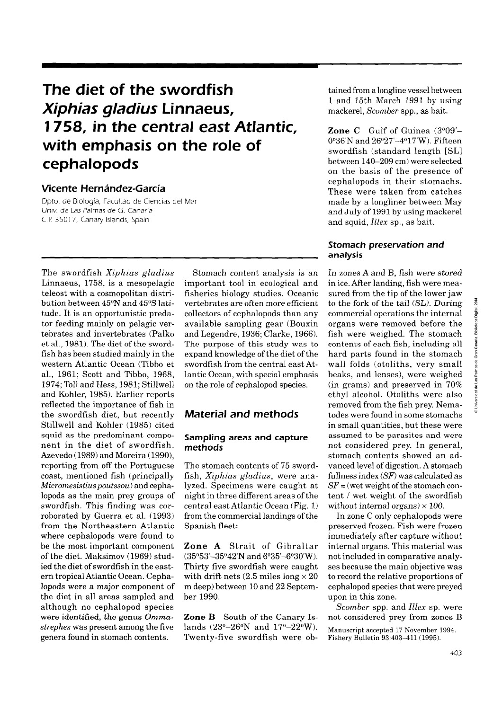# **The diet of the swordfish**  *Xiphias gladius* Linnaeus, **1 758, in the central east Atlantic, with emphasis on the role of cephalopods**

# **Vicente Hernández-García**

Dpto de Biología, Facultad de Ciencias del Mar Univ. de Las Palmas de G. Canaria C.P. 35017, Canary Islands, Spain

The swordfish *Xiphias gladius*  Linnaeus, 1758, is a mesopelagic teleost with a cosmopolitan distribution between  $45^{\circ}$ N and  $45^{\circ}$ S latitude. It is an opportunistic predator feeding mainly on pelagic vertebrates and invertebrates (Palko et al., 1981). The diet. of the swordfish has been studied mainly in the western Atlantic Ocean (Tibbo et al., 1961; Scott and Tibbo, 1968, 1974; Toll and Hess, 1981; Stillwell and Kohler, 1985). Earlier reports reflected the importance of fish in the swordfish diet, but recently Stillwell and Kohler (1985) cited squid as the predominant component in the diet of swordfish. Azevedo (1989) and Moreira (1990), reporting from off the Portuguese coast, mentioned fish (principally  $Micromesistius$  poutssou) and cephalopods as the main prey groups of swordfish. This finding was corroborated by Guerra et al. (1993) from the Northeastern Atlantic where cephalopods were found to be the most important component of the diet. Maksimov (1969) studied the diet of swordfish in the eastern tropical Atlantic Ocean. Cephalopods were a major component of the diet in al1 areas sampled and although no cephalopod species were identified, the genus *Omma*strephes was present among the five genera found in stomach contents.

Stomach content analysis is an important tool in ecological and fisheries biology studies. Oceanic vertebrates are often more efficient collectors of cephalopods than any available sampling gear (Bouxin and Legendre, 1936; Clarke, 1966). The purpose of this study was to expand knowledge of the diet of the swordfish from the central east Atlantic Ocean, with special emphasis on the role of cephalopod species.

# **Material and methods**

### **Sampling areas and capture methods**

The stomach contents of 75 swordfish, **Xiphias** gladius, were analyzed. Specimens were caught at night in three different areas of the central east Atlantic Ocean (Fig. 1) from the commercial landings of the Spanish fleet:

**Zone A** Strait of Gibraltar  $(35°53'-35°42'N$  and  $6°35'-6°30'W)$ . Thirty five swordfish were caught with drift nets (2.5 miles long  $\times$  20 m deep) between 10 and 22 September 1990.

**Zone B** South of the Canary Islands  $(23^{\circ}-26^{\circ}N \text{ and } 17^{\circ}-22^{\circ}W).$ Twenty-five swordfish were obtained from a longline vessel between 1 and 15th March 1991 by using mackerel, Scomber spp., as bait.

**Zone C** Gulf of Guinea  $(3°09' 0°36'$ N and  $26°27' - 4°17'$ W). Fifteen swordfish (standard length [SL] between 140-209 cm) were selected on the basis of the presence of cephalopods in their stomachs. These were taken from catches made by a longliner between May and July of 1991 by using mackerel and squid, *Illex* sp., as bait.

### **Stomach preservation and analysis**

In zones A and B, fish were stored in ice. After landing, fish were measured from the tip of the lower jaw to the fork of the tail (SL). During commercial operations the internal organs were removed before the fish were weighed. The stomach contents of each fish, including all hard parts found in the stomach wall folds (otoliths, very small beaks, and lenses), were weighed (in grams) and preserved in 70% ethyl alcohol. Otoliths were also removed from the fish prey. Nematodes were found in some stomachs in small quantities, but these were assumed to be parasites and were not considered prey. In general, stomach contents showed an advanced level of digestion. A stomach fullness index *(SF)* was calculated as  $SF =$  (wet weight of the stomach content / wet weight of the swordfish without internal organs)  $\times$  100.

In zone C only cephalopods were preserved frozen. Fish were frozen immediately after capture without internal organs. This material was not included in comparative analyses because the main objective was to record the relative proportions of cephalopod species that were preyed upon in this zone.

Scomber spp. and *Illex* sp. were not considered prey from zones B

Manuscript accepted 17 November 1994 Fishery Bulletin 93:403-411 (1995).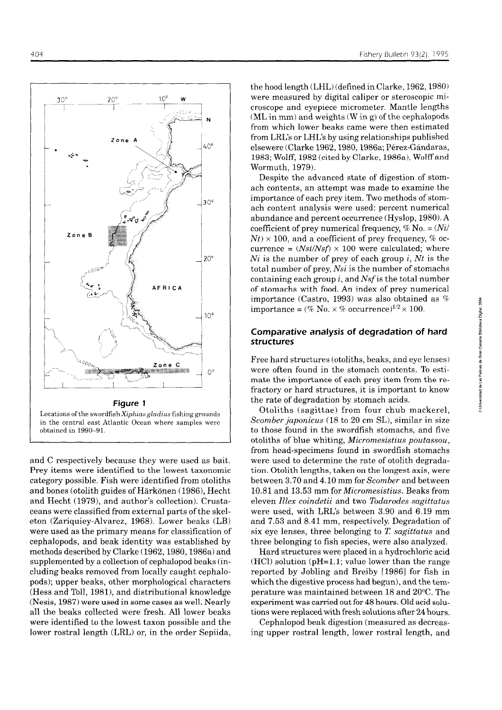$30^\circ$  $10<sup>°</sup>$  $20^{\circ}$ N Zone  $40^{\circ}$  $\frac{1}{30^{\circ}}$ Zone B  $20^{\circ}$ **AFRICA**  $10^{\circ}$ **Zone C**  $\overline{\mathbf{C}}$ -7  $O^{\circ}$ **Figure 1**  Locations of the swordfish Xiphias gladius fishing grounds in the central east Atlantic Ocean where samples were

and C respectively because they were used as bait. Prey items were identified to the lowest taxonomic category possible. Fish were identified from otoliths and bones (otolith guides of Harkonen (1986), Hecht and Hecht (1979), and author's collection). Crustaceans were classified from externa1 parts of the skeleton (Zariquiey-Alvarez, 1968). Lower beaks (LB) were used as the primary means for classification of cephalopods, and beak identity was established by methods described by Clarke (1962,1980,1986a) and supplemented by a collection of cephalopod beaks (including beaks removed from locally caught cephalopods); upper beaks, other morphological characters (Hess and Toll, 1981), and distributional knowledge (Nesis, 1987) were used in some cases as well. Nearly al1 the beaks collected were fresh. Al1 lower beaks were identified to the lowest taxon possible and the lower rostral length (LRL) or, in the order Sepiida,

obtained in 1990-91.

the hood length (LHL) (defined in Clarke, 1962,1980) were measured by digital caliper or steroscopic microscope and eyepiece micrometer. Mantle lengths (ML in mm) and weights (W in g) of the cephalopods from which lower beaks came were then estimated from LRL's or LHL's by using relationships published elsewere (Clarke 1962,1980,1986a; Pérez-Gándaras, 1983; Wolff, 1982 (cited by Clarke, 1986a), Wolff and Wormuth, 1979).

Despite the advanced state of digestion of stomach contents, an attempt was made to examine the importance of each prey item. Two methods of stomach content analysis were used: percent numerical abundance and percent occurrence (Hyslop, 1980). A coefficient of prey numerical frequency,  $\%$  No. =  $(Ni)$  $N_t \times 100$ , and a coefficient of prey frequency, % occurrence =  $(Nsi/Nsf) \times 100$  were calculated; where  $Ni$  is the number of prey of each group i, Nt is the total number of prey, Nsi is the number of stomachs containing each group  $i$ , and Nsf is the total number of stomachs with food. An index of prey numerical importance (Castro, 1993) was also obtained as  $%$ importance = (% No.  $\times$  % occurrence)<sup>1/2</sup>  $\times$  100.

### **Comparative analysis of degradation of hard**  structures

Free hard structures (otoliths, beaks, and eye lenses) were often found in the stomach contents. To estimate the importance of each prey item from the refractory or hard structures, it is important to know the rate of degradation by stomach acids.

Otoliths (sagittae) from four chub mackerel, Scomber japonicus (18 to 20 cm SL), similar in size to those found in the swordfish stomachs, and five otoliths of blue whiting, Micromesistius poutassou, from head-specimens found in swordfish stomachs were used to determine the rate of otolith degrada-  $\frac{1}{2}$  tion. Otolith lengths, taken on the longest axis, were between 3.70 and 4.10 mm for *Scomber* and between 10.81 and 13.53 mm for Micromesistius. Beaks from eleven Illex coindetii and two Todarodes sagittatus were used, with LRL's between 3.90 and 6.19 mm and 7.53 and 8.41 mm, respectively. Degradation of six eye lenses, three belonging to *T* sagittatus and three belonging to fish species, were also analyzed.

Hard structures were placed in a hydrochloric acid  $(HCl)$  solution (pH=1.1; value lower than the range reported by Jobling and Breiby [1986] for fish in which the digestive process had begun), and the temperature was maintained between 18 and 20°C. The experiment was carried out for 48 hours. Old acid solutions were replaced with fresh solutions after 24 hours.

Cephalopod beak digestion (measured as decreasing upper rostral length, lower rostral length, and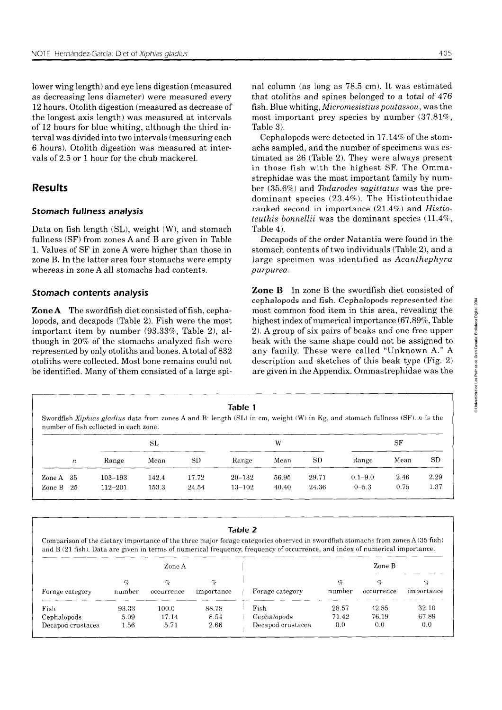lower wing length) and eye lens digestion (measured as decreasing lens diameter) were measured every 12 hours. Otolith digestion (measured as decrease of the longest axis length) was measured at intervals of 12 hours for blue whiting, although the third interval was divided into two intervals (measuring each 6 hours). Otolith digestion was measured at intervals of 2.5 or 1 hour for the chub mackerel.

# **Results**

### **Stomach fullness analysís**

Data on fish length (SL), weight (W), and stomach fullness (SF) from zones A and B are given in Table 1. Values of SF in zone A were higher than those in zone B. In the latter area four stomachs were empty whereas in zone A all stomachs had contents.

### **Stomach contents analysis**

**ZoneA** The swordfish diet consisted of fish, cephalopods, and decapods (Table 2). Fish were the most important item by number (93.33%, Table 2), although in 20% of the stomachs analyzed fish were represented by only otoliths and bones. **A** total of 832 otoliths were collected. Most bone remains could not be identified. Many of them consisted of a large spinal column (as long as 78.5 cm). It was estimated that otoliths and spines belonged to a total of 476 fish. Blue whiting, Micromesistius poutassou, was the most important prey species by number (37.81%, Table **3).** 

Cephalopods were detected in 17.14% of the stomachs sampled, and the number of specimens was estimated as 26 (Table 2). They were always present in those fish with the highest SF. The Ommastrephidae was the most important family by number (35.6%) and Todarodes sagittatus was the predominant species (23.4%). The Histioteuthidae ranked second in importance **(21.45%)** and Histioteuthis bonnellii was the dominant species (11.4%, Table 4).

Decapods of the order Natantia were found in the stomach contents of two individuals (Table 2), and a large specimen was identified as Acanthephyra purpurea.

**Zone B** In zone B the swordfish diet consisted of cephalopods and fish. Cephalopods represented the most common food item in this area, revealing the highest index of numerical importance (67.89%, Table 2). A group of six pairs of beaks and one free upper beak with the same shape could not be assigned to any family. These were called "Unknown A." A description and sketches of this beak type (Fig. 2) are given in the Appendix. Ommastrephidae was the

| Table 1                                                                                                                                                               |
|-----------------------------------------------------------------------------------------------------------------------------------------------------------------------|
| Swordfish Xiphias gladius data from zones A and B: length (SL) in cm, weight (W) in Kg, and stomach fullness (SF). n is the<br>number of fish collected in each zone. |
|                                                                                                                                                                       |

|             |                  |             | SL    |           |            | W     |       | SF          |      |      |  |
|-------------|------------------|-------------|-------|-----------|------------|-------|-------|-------------|------|------|--|
|             | $\boldsymbol{n}$ | Range       | Mean  | <b>SD</b> | Range      | Mean  | SD    | Range       | Mean | SD   |  |
| Zone A $35$ |                  | $103 - 193$ | 142.4 | 17.72     | $20 - 132$ | 56.95 | 29.71 | $0.1 - 9.0$ | 2.46 | 2.29 |  |
| Zone B $25$ |                  | $112 - 201$ | 153.3 | 24.54     | $13 - 102$ | 40.40 | 24.36 | $0 - 5.3$   | 0.75 | 1.37 |  |

| Table 2           |        |            |            |                                                                                                                                  |            |            |            |  |  |  |  |  |  |  |
|-------------------|--------|------------|------------|----------------------------------------------------------------------------------------------------------------------------------|------------|------------|------------|--|--|--|--|--|--|--|
|                   |        |            |            | Comparison of the dietary importance of the three major forage categories observed in swordfish stomachs from zones $A(35$ fish) |            |            |            |  |  |  |  |  |  |  |
|                   |        |            |            | and B (21 fish). Data are given in terms of numerical frequency, frequency of occurrence, and index of numerical importance.     |            |            |            |  |  |  |  |  |  |  |
|                   |        |            |            |                                                                                                                                  |            |            |            |  |  |  |  |  |  |  |
|                   |        | Zone A     |            |                                                                                                                                  | Zone B     |            |            |  |  |  |  |  |  |  |
|                   | Y.     | $\gamma_c$ | %          |                                                                                                                                  | $C_{\ell}$ | $\sigma_c$ | Y,         |  |  |  |  |  |  |  |
| Forage category   | number | occurrence | importance | Forage category                                                                                                                  | number     | occurrence | importance |  |  |  |  |  |  |  |
| Fish              | 93.33  | 100.0      | 88.78      | Fish                                                                                                                             | 28.57      | 42.85      | 32.10      |  |  |  |  |  |  |  |
| Cephalopods       | 5.09   | 17.14      | 8.54       | Cephalopods                                                                                                                      | 71.42      | 76.19      | 67.89      |  |  |  |  |  |  |  |
| Decapod crustacea | 1.56   | 5.71       | 2.66       | Decapod crustacea                                                                                                                | 0.0        | 0.0        | 0.0        |  |  |  |  |  |  |  |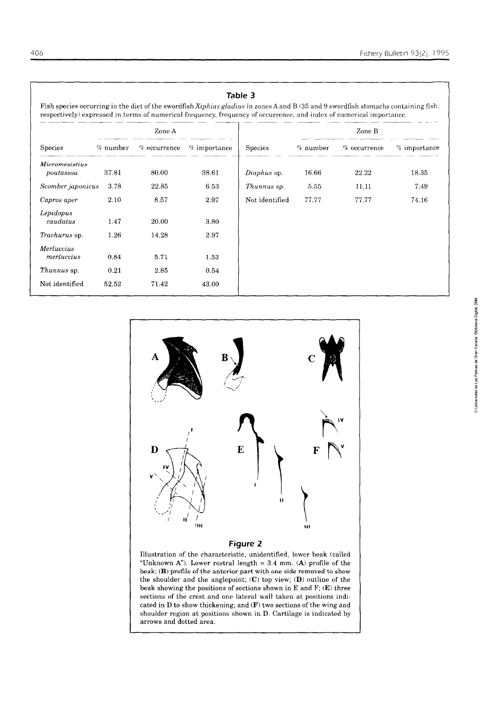| 06                                                                                                                                                                                                                                                         |            |                |                |                |            |                | Fishery Bulletin 93(2), 199. |  |  |  |  |
|------------------------------------------------------------------------------------------------------------------------------------------------------------------------------------------------------------------------------------------------------------|------------|----------------|----------------|----------------|------------|----------------|------------------------------|--|--|--|--|
| Fish species occurring in the diet of the swordfish Xiphias gladius in zones A and B (35 and 9 swordfish stomachs containing fish,<br>respectively) expressed in terms of numerical frequency, frequency of occurrence, and index of numerical importance. |            |                |                | Table 3        |            |                |                              |  |  |  |  |
|                                                                                                                                                                                                                                                            |            | Zone A         |                |                | Zone B     |                |                              |  |  |  |  |
| Species                                                                                                                                                                                                                                                    | $%$ number | $%$ occurrence | $%$ importance | Species        | $%$ number | $%$ occurrence | $%$ importance               |  |  |  |  |
| <i>Micromesistius</i><br>poutassou                                                                                                                                                                                                                         | 37.81      | 80.00          | 38.61          | Diaphus sp.    | 16.66      | 22.22          | 18.35                        |  |  |  |  |
| Scomber japonicus                                                                                                                                                                                                                                          | 3.78       | 22.85          | 6.53           | Thunnus sp.    | 5.55       | 11.11          | 7.49                         |  |  |  |  |
| Capros aper                                                                                                                                                                                                                                                | 2.10       | 8.57           | 2.97           | Not identified | 77.77      | 77.77          | 74.16                        |  |  |  |  |
| Lepidopus<br>caudatus                                                                                                                                                                                                                                      | 1.47       | 20.00          | 3.80           |                |            |                |                              |  |  |  |  |
| Trachurus sp.                                                                                                                                                                                                                                              | 1.26       | 14.28          | 2.97           |                |            |                |                              |  |  |  |  |
| Merluccius<br>merluccius                                                                                                                                                                                                                                   | 0.84       | 5.71           | 1.53           |                |            |                |                              |  |  |  |  |
| Thunnus sp.                                                                                                                                                                                                                                                | 0.21       | 2.85           | 0.54           |                |            |                |                              |  |  |  |  |
| Not identified                                                                                                                                                                                                                                             | 52.52      | 71.42          | 43.00          |                |            |                |                              |  |  |  |  |
|                                                                                                                                                                                                                                                            |            |                |                |                |            |                |                              |  |  |  |  |





shoulder region at positions shown in D. Cartilage is indicated by

arrows and dotted area.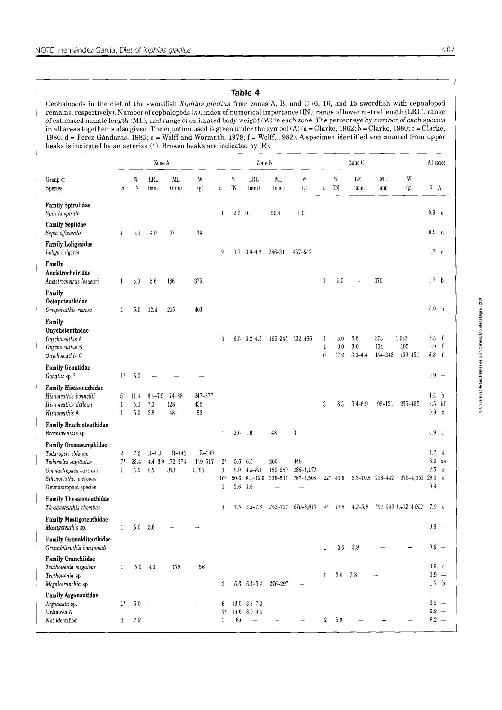### **Table 4**

Cephalopods in the diet of the swordfish Xiphias *gladius* from zones A, B, and C (6, 16, and 15 swordfish with cephalopod remains, respectively). Number of cephalopods (n), index of numerical importance (IN), range of lower rostral length (LRL), range of estimated mantle length (ML), and range of estimated body weight (W) in each zone. The percentage by number of each species 1986; d = Pérez-Gándaras, 1983; e = Wolff and Wormuth, 1979; f = Wolff, 1982). A specimen identified and counted from upper beaks is indicated by an asterisk (\*). Broken beaks are indicated by (R).

| in all areas together is also given. The equation used is given under the symbol (A) ( $a =$ Clarke, 1962; b = Clarke, 1980; c = Clarke,<br>1986; d = Pérez-Gándaras, 1983; e = Wolff and Wormuth, 1979; f = Wolff, 1982). A specimen identified and counted from upper<br>beaks is indicated by an asterisk (*). Broken beaks are indicated by (R). |                  |                    |                           |                                   |                             |                                    |                           |                                           |                           |                                       |                            |                    |                           |                        |                             |                                      |                                               |
|------------------------------------------------------------------------------------------------------------------------------------------------------------------------------------------------------------------------------------------------------------------------------------------------------------------------------------------------------|------------------|--------------------|---------------------------|-----------------------------------|-----------------------------|------------------------------------|---------------------------|-------------------------------------------|---------------------------|---------------------------------------|----------------------------|--------------------|---------------------------|------------------------|-----------------------------|--------------------------------------|-----------------------------------------------|
|                                                                                                                                                                                                                                                                                                                                                      | Zone A           |                    |                           |                                   |                             | Zone B                             |                           |                                           |                           |                                       | Zone C                     |                    |                           |                        |                             | All zones                            |                                               |
| Group or<br>Species                                                                                                                                                                                                                                                                                                                                  | $\boldsymbol{n}$ | $\%$<br>IN         | LRL<br>(mm)               | ML<br>(mm)                        | W<br>(g)                    | $\it n$                            | $\%$<br>IN                | <b>LRL</b><br>(mm)                        | ML<br>(mm)                | W<br>(g)                              | $\boldsymbol{n}$           | $c_{\!\ell}$<br>IN | LRL<br>(mm)               | ML<br>(mm)             | W<br>(g)                    | $\%$ – A                             |                                               |
| Family Spirulidae<br>Spirula spirula                                                                                                                                                                                                                                                                                                                 |                  |                    |                           |                                   |                             | 1                                  | 2.6                       | 0.7                                       | 20.4                      | 1.0                                   |                            |                    |                           |                        |                             | 0.9 c                                |                                               |
| <b>Family Sepiidae</b><br>Sepia officinalis                                                                                                                                                                                                                                                                                                          | 1                | 5.0                | 4.0                       | 97                                | 34                          |                                    |                           |                                           |                           |                                       |                            |                    |                           |                        |                             | 0.9                                  | d                                             |
| <b>Family Loliginidae</b><br>Loligo vulgaris                                                                                                                                                                                                                                                                                                         |                  |                    |                           |                                   |                             | 2                                  | 3.7                       | $3.9 - 4.2$                               | 286-311 437-542           |                                       |                            |                    |                           |                        |                             | $1.7 \text{ } c$                     |                                               |
| Family<br>Ancistrocheiridae<br>Ancistrocheirus lesueuri                                                                                                                                                                                                                                                                                              | $\mathbf{1}$     | 5.0                | 5.6                       | 186                               | 379                         |                                    |                           |                                           |                           |                                       | 1                          | 3.0                |                           | 170                    |                             | 1.7                                  | b                                             |
| Family<br>Octopoteuthidae<br>Octopoteuthis rugosa                                                                                                                                                                                                                                                                                                    | $\mathbf{1}$     | 5.0                | 12.4                      | 215                               | 401                         |                                    |                           |                                           |                           |                                       |                            |                    |                           |                        |                             | 0.9 <sub>b</sub>                     |                                               |
| Family<br>Onychoteuthidae<br>Onychoteuthis A<br>Onychoteuthis B<br>Onychoteuthis C                                                                                                                                                                                                                                                                   |                  |                    |                           |                                   |                             | 3                                  |                           | $6.5 \quad 3.2 - 4.5$                     |                           | 166-245 132-466                       | 1<br>1<br>$\boldsymbol{6}$ | 3.0<br>3.0<br>17.2 | 6.6<br>3.0<br>$3.0 - 4.4$ | 373<br>154<br>154-243  | 1,923<br>105<br>$109 - 451$ | $3.5\,$<br>0.9<br>5.3 f              | f<br>$-f$                                     |
| <b>Family Gonatidae</b><br>Gonatus sp. ?                                                                                                                                                                                                                                                                                                             | $1*$             | 5.0                |                           |                                   |                             |                                    |                           |                                           |                           |                                       |                            |                    |                           |                        |                             | $0.9 -$                              |                                               |
| <b>Family Histioteuthidae</b><br>Histioteuthis bonnellii<br>Histioteuthis dofleini<br>Histioteuthis A                                                                                                                                                                                                                                                | $5*$<br>1<br>1   | 11.4<br>5.0<br>5.0 | $6.4 - 7.9$<br>7.0<br>2.8 | $74 - 88$<br>128<br>48            | 247-377<br>435<br>53        |                                    |                           |                                           |                           |                                       | 3                          | 8.3                | $5.4 - 6.9$               | 95-121                 | 235-435                     | 4.4<br>3.5<br>0.9                    | $\mathbf b$<br>bf<br>$\mathbf b$              |
| Family Brachioteuthidae<br>Brachioteuthis sp.                                                                                                                                                                                                                                                                                                        |                  |                    |                           |                                   |                             | 1                                  |                           | $2.6$ 1.6                                 | 48                        | 3                                     |                            |                    |                           |                        |                             | 0.9 <sub>c</sub>                     |                                               |
| Family Ommastrephidae<br>Todaropsis eblanae<br>Todarodes sagittatus<br>Ommastrephes bartrami<br>Sthenoteuthis pteropus<br>Ommastrephid species                                                                                                                                                                                                       | 2<br>7*<br>1     | 7.2<br>23.4<br>5.0 | $R-4.3$<br>8.5            | $R-141$<br>4.4-6.9 172-274<br>303 | $R-189$<br>149-517<br>1,383 | $2*$<br>3<br>$10*$<br>$\mathbf{1}$ | 5.6<br>8.0<br>20.6<br>2.6 | 6.5<br>$4.5 - 8.1$<br>$8.1 - 12.9$<br>1.6 | 260<br>180-289<br>336-531 | 448<br>$185 - 1,170$<br>$787 - 7,508$ |                            | $22^*$ 41.6        |                           | $5.3 - 10.8$ 218 - 442 | $375 - 4,052$               | $1.7\,$<br>8.0<br>3.5<br>28.3<br>0.9 | d<br>ba<br>a<br>e<br>$\overline{\phantom{a}}$ |
| <b>Family Thysanoteuthidae</b><br>Thysanoteuthis rhombus                                                                                                                                                                                                                                                                                             |                  |                    |                           |                                   |                             | 4                                  |                           | $7.5$ $3.3 - 7.6$                         |                           | 252-727 670-8,613                     | $4*$                       | 11.8               | $4.2 - 5.9$               |                        | 351-543 1,402-4,052         | $7.0\degree$ c                       |                                               |
| <b>Family Mastigoteuthidae</b><br>Mastigoteuthis sp.                                                                                                                                                                                                                                                                                                 | $\mathbf{1}$     | 5.0                | 5.6                       |                                   |                             |                                    |                           |                                           |                           |                                       |                            |                    |                           |                        |                             |                                      | $0.9\phantom{0}$ $-$                          |
| Family Grimalditeuthidae<br>Grimalditeuthis bomplandi                                                                                                                                                                                                                                                                                                |                  |                    |                           |                                   |                             |                                    |                           |                                           |                           |                                       | 1                          | $3.0\,$            | 3.9                       |                        |                             | $0.9 -$                              |                                               |
| <b>Family Cranchiidae</b><br>Teuthowenia megalops<br>Teuthowenia sp.<br>Megalocranchia sp.                                                                                                                                                                                                                                                           | $\mathbf{1}$     | 5.0                | 4.1                       | 179                               | 56                          | 2                                  | 5.3                       | $5.1 - 5.4$                               | 276-297                   |                                       | 1                          | 3.0                | 2.8                       |                        |                             | 0.9 c<br>$0.9 -$<br>1.7 <sub>b</sub> |                                               |
| Family Argonautidae<br>Argonauta sp.<br>Unknown A                                                                                                                                                                                                                                                                                                    | $1^*$            | 5.0                |                           |                                   |                             | 6<br>$7*$                          | 14.0                      | $13.0$ $3.8 - 7.2$<br>$3.0 - 4.4$         |                           |                                       |                            |                    |                           |                        |                             |                                      | $6.2 -$<br>$6.2 -$                            |
| Not identified                                                                                                                                                                                                                                                                                                                                       | $\boldsymbol{2}$ | $7.2\,$            |                           |                                   |                             | 3                                  | 8.0                       | $\overline{\phantom{0}}$                  |                           |                                       | $\boldsymbol{2}$           | 5.9                |                           |                        |                             |                                      | $6.2 -$                                       |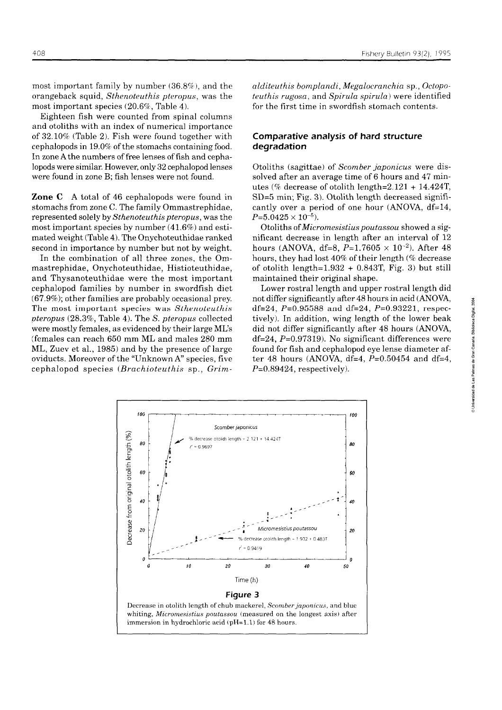most important family by number  $(36.8\%)$ , and the orangeback squid, Sthenoteuthis pteropus, was the most important species (20.6%, Table 4).

Eighteen fish were counted from spinal columns and otoliths with an index of numerical importance of 32.10% (Table 2). Fish were found together with cephalopods in 19.0% of the stomachs containing food. In zone A the numbers of free lenses of fish and cephalopods were similar. However, only 32 cephalopod lenses were found in zone B; fish lenses were not found.

**Zone C** A total of 46 cephalopods were found in stomachs from zone C. The family Ommastrephidae, represented solely by Sthenoteuthis pteropus, was the most important species by number (41.6%) and estimated weight (Table 4). The Onychoteuthidae ranked second in importance by number but not by weight.

In the combination of all three zones, the Ommastrephidae, Onychoteuthidae, Histioteuthidae, and Thysanoteuthidae were the most important cephalopod families by number in swordfish diet (67.9%); other families are probably occasional prey. The most important species was Sthenoteuthis pteropus (28.3%, Table 4). The S. pteropus collected were mostly females, as evidenced by their large MES (females can reach 650 mm ML and males 280 mm ML, Zuev et al., 1985) and by the presence of large oviducts. Moreover of the "Unknown A" species, five cephalopod species (Brachioteuthis sp., Grimalditeuthis bomplandi, Megalocranchia sp., Octopoteuthis rugosa, and Spirula spirula) were identified for the first time in swordfish stomach contents.

### **Comparative analysis of hard structure degradation**

Otoliths (sagittae) of Scomber japonicus were dissolved after an average time of 6 hours and 47 minutes (% decrease of otolith length= $2.121 + 14.424$ T, SD=5 min; Fig. **3).** Otolith length decreased significantly over a period of one hour (ANOVA, df=14,  $P{=}5.0425\times10^{-5}$  ).

Otoliths of Micromesistius poutassou showed a significant decrease in length after an interval of 12 hours (ANOVA, df=8,  $P=1.7605 \times 10^{-2}$ ). After 48 hours, they had lost 40% of their length (% decrease of otolith length= $1.932 + 0.843$ T, Fig. 3) but still maintained their original shape.

Lower rostral length and upper rostral length did not differ significantly after 48 hours in acid (ANOVA, **<sup>g</sup>** df=24,  $P=0.95588$  and df=24,  $P=0.93221$ , respectively). In addition, wing length of the lower beak did not differ significantly after 48 hours (ANOVA,  $df=24$ ,  $P=0.97319$ ). No significant differences were found for fish and cephalopod eye lense diameter af- **f**  ter 48 hours (ANOVA, df=4,  $P=0.50454$  and df=4,  $P=0.89424$ , respectively).



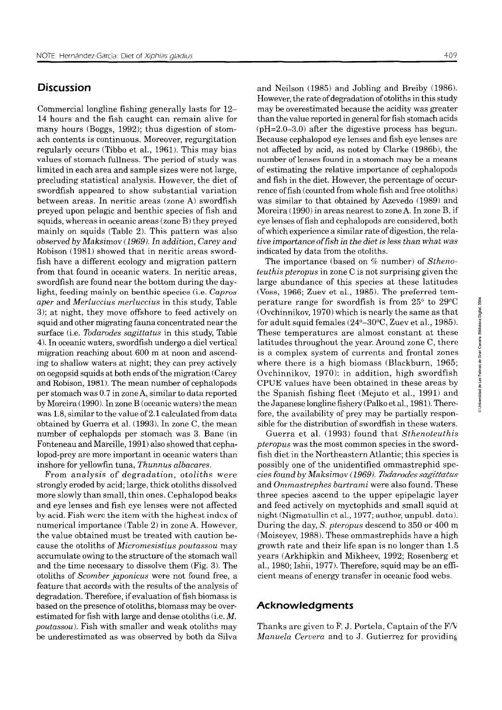# **Discussion**

Commercial longline fishing generally lasts for 12- 14 hours and the fish caught can remain alive for many hours (Boggs, 1992); thus digestion of stomach contents is continuous. Moreover, regurgitation regularly occurs (Tibbo et al., 1961). This may bias values of stomach fullness. The period of study was limited in each area and sample sizes were not large, precluding statistical analysis. However, the diet of swordfish appeared to show substantial variation between areas. In neritic areas (zone A) swordfish preyed upon pelagic and benthic species of fish and squids, whereas in oceanic areas (zone B) they preyed mainly on squids (Table 2). This pattern was also observed by Maksimov (1969). In addition, Carey- *and*  Robison (1981) showed that in neritic areas swordfish have a different ecology and migration pattern from that found in oceanic waters. In neritic areas, swordfish are found near the bottom during the day light, feeding mainly on benthic species (i.e. Capros aper and Merluccius merluccius in this study, Table 3); at night, they move offshore to feed actively on squid and other migrating fauna concentrated near the surface (i.e. Todarodes sagittatus in this study, Table 4). In oceanic waters, swordfish undergo a diel vertical migration reaching about 600 m at noon and ascending to shallow waters at night; they can prey actively on oegopsid squids at both ends of the migration (Carey and Robison, 1981). The mean number of cephalopods per stomach was 0.7 in zone A, similar to data reported by Moreira (1990). In zone B (oceanic waters) the mean was 1.8, similar to the value of 2.1 calculated from data obtained by Guerra et al. (1993). In zone C, the mean nurnber of cephalopds per stomach was 3. Bane (in Fonteneau and Marcille, 1991) also showed that cephalopod-prey are more important in oceanic waters than inshore for yellowfin tuna, Thunnus albacares.

From analysis of degradation, otoliths were strongly eroded by acid; large, thick otoliths dissolved more slowly than small, thin ones. Cephalopod beaks and eye lenses and fish eye lenses were not affected by acid. Fish were the item with the highest index of numerical importance (Table 2) in zone A. However, the value obtained must be treated with caution because the otoliths of *Micromesistius poutassou* may accumulate owing to the structure of the stomach wall and the time necessary to dissolve them (Fig. 3). The otoliths of Scomber japonicus were not found free, a feature that accords with the results of the analysis of degradation. Therefore, if evaluation of fish biomass is based on the presence of otoliths, biomass may be overestimated for fish with large and dense otoliths  $(i.e. M.$ poutassou). Fish with smaller and weak otoliths may be underestimated as was observed by both da Silva

and Neilson (1985) and Jobling and Breiby (1986). However, the rate of degradation of otoliths in this study may be overestimated because the acidity was greater than the value reported in general for fish stomach acids (pH=2.0-3.0) after the digestive process has begun. Because cephalopod eye lenses and fish eye lenses are not affected by acid, as noted by Clarke (1986b), the number of lenses found in a stomach rnay be a means of estimating the relative importance of cephalopods and fish in the diet. However, the percentage of occurrence of fish (counted from whole fish and free otoliths) was similar to that obtained by Azevedo (1989) and Moreira (1990) in areas nearest to zone A. In zone B, if eye lenses of fish and cephalopods are considered, both of which experience a similar rate of digestion, the relative importance of fish in the diet is less than what was indicated by data from the otoliths.

The importance (based on % number) of Sthenoteuthis pteropus in zone C is not surprising given the large abundance of this species at these latitudes (Voss, 1966; Zuev et al., 1985). The preferred temperature range for swordfish is from  $25^{\circ}$  to  $29^{\circ}$ C  $_{\circ}$ <sup>3</sup> (Ovchinnikov, 1970) which is nearly the same as that for adult squid females  $(24^{\circ}-30^{\circ}C, Zuev et al., 1985).$ These temperatures are almost constant at these latitudes throughout the year. Around zone C, there is a complex system of currents and frontal zones where there is a high biomass (Blackburn, 1965; Ovchinnikov, 1970): in addition, high swordfish **<sup>k</sup>** CPUE values have been obtained in these areas by the Spanish fishing fleet (Mejuto et al., 1991) and the Japanese longline fishery (Palko et al., 1981). Therefore, the availability of prey may be partially responsible for the distribution of swordfish in these waters.

Guerra et al. (1993) found that Sthenoteuthis pteropus was the most common species in the swordfish diet in the Northeastern Atlantic; this species is possibly one of the unidentified ommastrephid species found by Maksimov (1 *969). Todarudes sagittatus*  and Ommastrephes bartrami were also found. These three species ascend to the upper epipelagic layer and feed actively on myctophids and small squid at  $\mu$  night (Nigmatullin et al., 1977; author, unpubl. data). During the day, S. pteropus descend to 350 or 400 m (Moiseyev, 1988). These ommastrephids have a high growth rate and their life span is no longer than 1.5 years (Arkhipkin and Mikheev, 1992; Rosenberg et al.,  $1980$ ; Ishii,  $1977$ ). Therefore, squid may be an efficient means of energy transfer in oceanic food webs.

### **Acknowledgments**

Thanks are given to F. J. Portela, Captain of the  $F/V$ Manuela Cervera and to J. Gutierrez for providing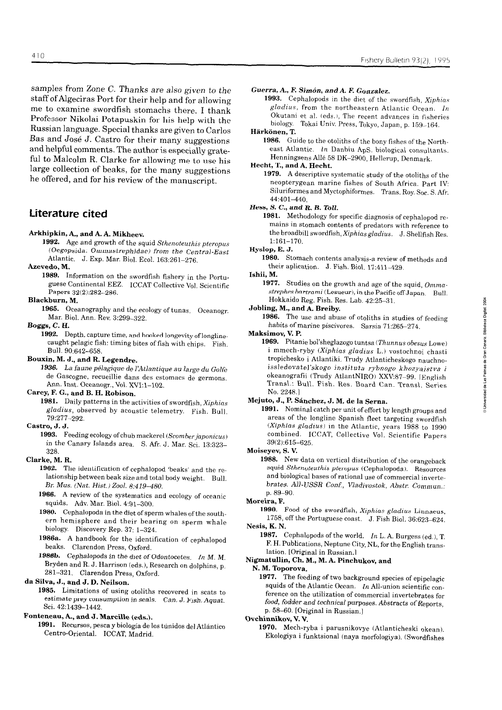samples from Zone C. Thanks are also *given* to *the*  staff of Algeciras Port for their help and for allowing me to examine swordfish stomachs there. **1** thank Professor Nikolai Potapuskin for his help with the Russian language. Special thanks are given to Carlos Bas and José J. Castro for their many suggestions and helpful comments. The author is especially grateful to Malcolm R. Clarke for allowing me to use his large collection of beaks, for the many suggestions he offered, and for his review of the manuscript.

### **Líterature cited**

#### **Arkhipkin, A., and A. A. Mikheev.**

**1992.** Age and growth of the squid Sthenoteuthis pteropus (Oegopsida: Ommastrephidae) from the Central-East Atlantic. J. Exp. Mar. Biol. Eco!. 163:261-276.

#### Azevedo, M.

**1989.** Information on the swordfish fishery in the Portuguese Continental EEZ. ICCAT Collective Vol. Scientific Papers 32(2):282-286.

### **Blackburn, M.**

**1965.** Oceanography and the ecology of tunas. Oceanogr. Mar. Biol. Ann. Rev. 3:299-322.

#### *Boggs,* **C. H.**

**1992.** Depth, capture time, and hooked longevity of longlinecaught pelagic fish: timing bites of fish with chips. Fish. Bull. 90:642-658.

### **Bouxin, M. J., and R. Legendre.**

**1936.** La faune pélagique de I:4tlantique au *largc* du Golfe de Gascogne, recueillie dans des estomacs de germons. Ann. Inst. Oceanogr., Vol. XVI:1-102.

#### **Carey, F. G., and B. H. Robison.**

**1981.** Daily patterns in the activities of swordfish, Xiphias gladius, observed by acoustic telemetry. Fish. Bull. 79277-292.

#### **Castro, J. J.**

1993. Feeding ecology of chub mackerel (Scomber japonicus) in the Canary Islands area. S. Afr. J. Mar. Sci. 13:323-328.

#### **Clarke, M. R.**

**1962.** The identification of cephalopod 'beaks' and the relationship between beak size and total body weight. Bull. *Br. Mus.* **(,Vat. Hist.)** *2001.* 8:419-480.

**1966.** A review of the systematics and ecology of oceanic squids. Adv. Mar. Biol. 4:91-300.

1980. Cephalopoda in the diet of sperm whales of the southern hemisphere and their bearing on sperm whale biology. Discovery Rep. 37: 1-324.

**1986a.** A handbook for the identification of cephalopod beaks. Clarendon Press, Oxford.

**198%.** Cephalopods in the diet of Odontocetes. In M. M. Bryden and R. J. Harrison (eds.), Research on dolphins, p. 281-321. Clarendon Press, Oxford.

### **da Silva, J., and J. D. Neilson.**

**1985.** Limitations of using otoliths recovered in scats to estimate prey consumption in seals. Can. J. Fish. Aquat. Sci. 42:1439-1442.

### **Fonteneau, A., and J. Marcille (eds.).**

**1991.** Recursos, pesca y biología de los túnidos del Atlántico Centro-Oriental. ICCAT, Madrid.

#### *Guerra,* **A., F.** *Simún,* **and** *A. E Gonzalez.*

1993. Cephalopods in the diet of the swordfish, Xiphias gladius, from the northeastern Atlantic Ocean. **1n**  Okutani et al. (eds.), The recent advances in fisheries biology. Tokai Univ. Press, Tokyo, Japan, p. 159-164.

### Härkönen, T.

**1986.** Guide to the otoliths of the bony fishes of the Northeast Atlantic. *ln* Danbiu ApS. biological consultants. Henningsens Allé 58 DK-2900, Hellerup, Denmark.

**Hecht, T., and A. Hecht.** 

**1979.** A descriptive systematic study of the otoliths of the neopterygean marine fishes of South Africa. Part IV: Siluriformes and Myctophiformes. Trans. Roy. Soc. S. Afr. 44:401-440.

*Hess,* **S.** *C.,* **and** *R. B. Toll.* 

**1981.** Methodology for specific diagnosis of cephalopod remains in stomach contents of predators with reference to the broadbill swordfish, Xiphias gladius. J. Shellfish Res. 1:161-170.

### **Hyslop, E. J.**

**1980.** Stomach contents analysis-a review of methods and their aplication. J. Fish. Bid. 17:411-429.

### **lshii, M.**

**1977.** Studies on the growth and age of the squid, Omma $strephes$   $bartrami$  (Lesueur), in the Pacific off Japan. Bull. Hokkaido Reg. Fish. Res. Lab. 42:25-31.

### **Jobling, M., and A. Breiby.**

**1986.** The use and abuse of otoliths in studies of feeding habits of marine piscivores. Sarsia 71265-274.

#### **Maksimov, V. P.**

**1969.** Pitanie bol'sheglazogo tuntsa (Thunnus obesus Lowe) i mmech-ryby (Xiphias gladius L.) vostochnoi chasti tropichesko i Atlantiki. Trudy Atlanticheskogo nauchnoissledovatel'skogo instituta rybnogo *khozyaistva* **<sup>i</sup>** okeanografii (Trudy AtlantNIRO) XXV:87-99. IEnglish Transl.: Bull. Fish. Res. Board Can. Transl. Series No. 2248.1

## **Mejuto, J., P. Sánchez, J. M. de la Serna.**

**1991.** Nominal catch per unit of effort by length groups and areas of the longline Spanish fleet targeting swordfish (Xiphias gladius) in the Atlantic, years  $1988$  to  $1990$ cornbined. ICCAT, Collective Vol. Scientific Papers 39(2):615-625.

### **Moiseyev, S. V.**

**1988. New data on vertical distribution of the orangeback<br><b>888.** New data on vertical distribution of the orangeback<br>squid *Sthenoteuthis pteronus* (Cophalapode). Becauses squid Sthenoteuthis pteropus (Cephalopoda). Resources and biological bases of rational use of commercial invertebrates. All-USSR Conf., Vladivostok, Abstr. Commun.: p. 89-90.

### **Moreira, F.**

1990. Food of the swordfish, Xiphias gladius Linnaeus, 1758, off the Portuguese coast. J. Fish Biol. 36:623-624. **Nesis, K. N.** 

**1987.** Cephalopods of the world. *1n* L. A. Burgess (ed.), T. F. H. Publications, Neptune City, NL, for the English translation. [Original in Russian.1

### **Nigmatullin, Ch. M., M. A. Pínchukov, and**

**N. M. Toporova.** 

**1977.** The feeding of two background species of epipelagic squids of the Atlantic Ocean. *In* All-union scientific conference on the utilization of commercial invertebrates for *food, fodder* aad technical purposes. Abstracts of Reports, p. 58-60. [Original in Russian.]

#### **Ovchinnikov, V. V.**

**1970.** Mech-ryba i parusnikovye (Atlanticheski okean). Ekologiya i funktsional (naya morfologiya). (Swordfishes